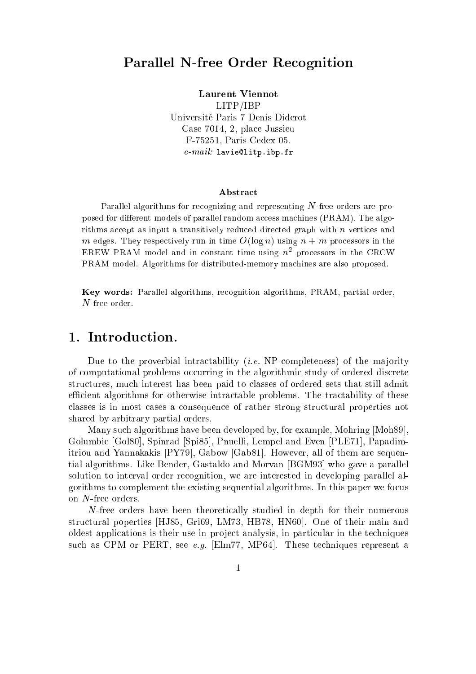# Parallel N-free Order Recognition

Laurent Viennot

LITP/IBP Universite Paris 7 Denis Diderot Case 7014, 2, pla
e Jussieu F-75251, Paris Cedex 05.  $e$ - $mail:$  lavie@litp.ibp.fr

#### **Abstract**

Parallel algorithms for recognizing and representing N-free orders are proposed for different models of parallel random access machines (PRAM). The algorithms accept as input a transitively reduced directed graph with  $n$  vertices and m edges. They respectively run in time  $O(\log n)$  using  $n + m$  processors in the EREW PRAM model and in constant time using  $n^2$  processors in the CRCW PRAM model. Algorithms for distributed-memory machines are also proposed.

Key words: Parallel algorithms, re
ognition algorithms, PRAM, partial order, N-free order.

## 1. Introduction.

Due to the proverbial intractability (*i.e.* NP-completeness) of the majority of computational problems occurring in the algorithmic study of ordered discrete structures, much interest has been paid to classes of ordered sets that still admit efficient algorithms for otherwise intractable problems. The tractability of these lasses is in most ases a onsequen
e of rather strong stru
tural properties not shared by arbitrary partial orders.

Many such algorithms have been developed by, for example, Mohring [Moh89]. Golumbic [Gol80], Spinrad [Spi85], Pnuelli, Lempel and Even [PLE71], Papadimitriou and Yannakakis  $[PY79]$ , Gabow [Gab81]. However, all of them are sequential algorithms. Like Bender, Gastaldo and Morvan [BGM93] who gave a parallel solution to interval order recognition, we are interested in developing parallel algorithms to omplement the existing sequential algorithms. In this paper we fo
us on N-free orders.

N-free orders have been theoreti
ally studied in depth for their numerous structural poperties [HJ85, Gri69, LM73, HB78, HN60]. One of their main and oldest applications is their use in project analysis, in particular in the techniques such as CPM or PERT, see e.g. [Elm77, MP64]. These techniques represent a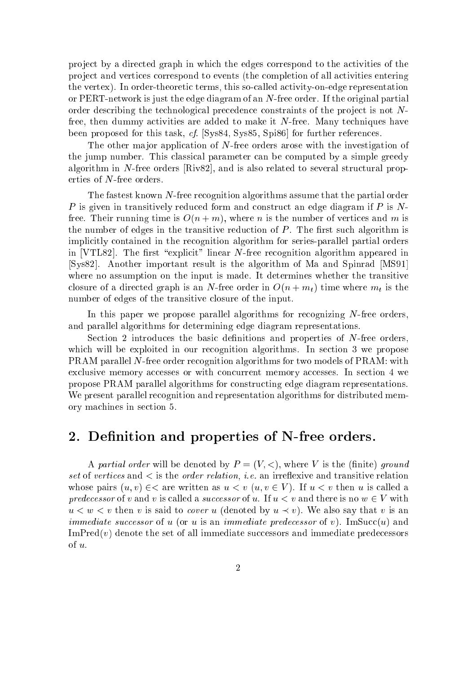project by a directed graph in which the edges correspond to the activities of the project and vertices correspond to events (the completion of all activities entering the vertex). In order-theoretic terms, this so-called activity-on-edge representation or PERT-network is just the edge diagram of an N-free order. If the original partial order describing the technological precedence constraints of the project is not Nfree, then dummy a
tivities are added to make it N-free. Many te
hniques have been proposed for this task, cf. [Sys84, Sys85, Spi86] for further references.

The other major application of N-free orders arose with the investigation of the jump number. This lassi
al parameter an be omputed by a simple greedy algorithm in N-free orders [Riv82], and is also related to several structural properties of N-free orders.

The fastest known N-free recognition algorithms assume that the partial order P is given in transitively reduced form and construct an edge diagram if P is Nfree. Their running time is  $O(n+m)$ , where *n* is the number of vertices and *m* is the number of edges in the transitive reduction of  $P$ . The first such algorithm is implicitly contained in the recognition algorithm for series-parallel partial orders in [VTL82]. The first "explicit" linear N-free recognition algorithm appeared in [Sys82]. Another important result is the algorithm of Ma and Spinrad [MS91] where no assumption on the input is made. It determines whether the transitive closure of a directed graph is an N-free order in  $O(n + m_t)$  time where  $m_t$  is the number of edges of the transitive closure of the input.

In this paper we propose parallel algorithms for recognizing  $N$ -free orders, and parallel algorithms for determining edge diagram representations.

Section 2 introduces the basic definitions and properties of N-free orders, which will be exploited in our recognition algorithms. In section 3 we propose PRAM parallel N-free order recognition algorithms for two models of PRAM: with exclusive memory accesses or with concurrent memory accesses. In section 4 we propose PRAM parallel algorithms for onstru
ting edge diagram representations. We present parallel recognition and representation algorithms for distributed memory ma
hines in se
tion 5.

## 2. Definition and properties of N-free orders.

A partial order will be denoted by  $P=(V, \leq),$  where V is the (finite) ground set of vertices and  $\lt$  is the *order relation*, *i.e.* an irreflexive and transitive relation whose pairs  $(u, v) \in \subset$  are written as  $u < v$   $(u, v \in V)$ . If  $u < v$  then u is called a predecessor of v and v is called a successor of u. If  $u < v$  and there is no  $w \in V$  with  $u < w < v$  then v is said to *cover* u (denoted by  $u \prec v$ ). We also say that v is an *immediate successor* of u (or u is an *immediate predecessor* of v). ImSucc(u) and  $\text{ImPred}(v)$  denote the set of all immediate successors and immediate predecessors of u.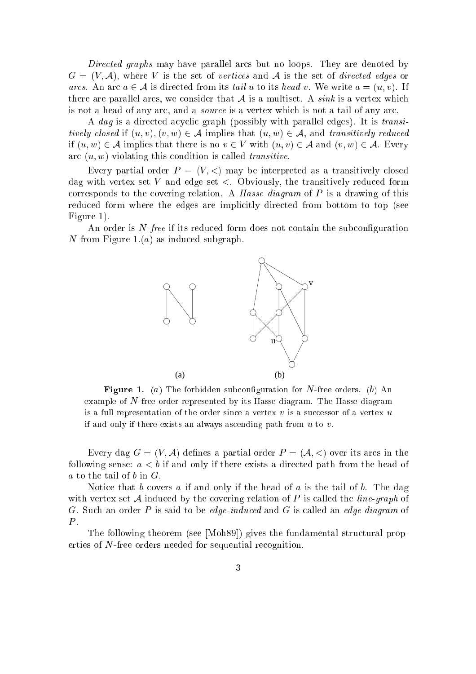Directed graphs may have parallel arcs but no loops. They are denoted by  $G = (V, \mathcal{A})$ , where V is the set of vertices and A is the set of directed edges or arcs. An arc  $a \in \mathcal{A}$  is directed from its tail u to its head v. We write  $a = (u, v)$ . If there are parallel arcs, we consider that  $A$  is a multiset. A *sink* is a vertex which is not a head of any arc, and a *source* is a vertex which is not a tail of any arc.

A *dag* is a directed acyclic graph (possibly with parallel edges). It is *transi*tively closed if  $(u, v), (v, w) \in A$  implies that  $(u, w) \in A$ , and transitively reduced if  $(u, w) \in A$  implies that there is no  $v \in V$  with  $(u, v) \in A$  and  $(v, w) \in A$ . Every arc  $(u, w)$  violating this condition is called *transitive*.

Every partial order  $P = (V, \leq)$  may be interpreted as a transitively closed dag with vertex set V and edge set  $\lt$ . Obviously, the transitively reduced form corresponds to the covering relation. A *Hasse diagram* of  $P$  is a drawing of this reduced form where the edges are implicitly directed from bottom to top (see Figure 1).

An order is  $N$ -free if its reduced form does not contain the subconfiguration N from Figure 1. $(a)$  as induced subgraph.



**Figure 1.** (a) The forbidden subconfiguration for N-free orders. (b) An example of N-free order represented by its Hasse diagram. The Hasse diagram is a full representation of the order since a vertex  $v$  is a successor of a vertex  $u$ if and only if there exists an always ascending path from  $u$  to  $v$ .

Every dag  $G = (V, \mathcal{A})$  defines a partial order  $P = (\mathcal{A}, \langle)$  over its arcs in the following sense:  $a < b$  if and only if there exists a directed path from the head of a to the tail of  $b$  in  $G$ .

Notice that b covers a if and only if the head of a is the tail of b. The dag with vertex set A induced by the covering relation of P is called the *line-graph* of G. Such an order P is said to be *edge-induced* and G is called an *edge diagram* of  $P$ .

The following theorem (see [Moh89]) gives the fundamental structural properties of N-free orders needed for sequential recognition.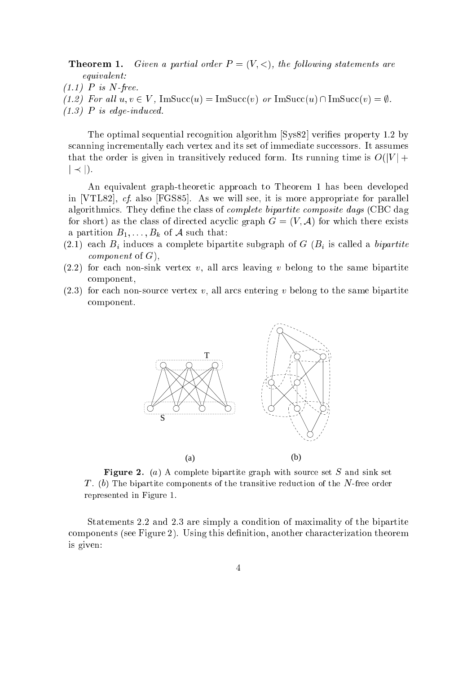**Theorem 1.** Given a partial order  $P = (V, <)$ , the following statements are equivalent:

- $(1.1)$  P is N-free.
- (1.2) For all  $u, v \in V$ , ImSucc $(u) = \text{Im}Succ(v)$  or ImSucc $(u) \cap \text{Im}Succ(v) = \emptyset$ .
- $(1.3)$  P is edge-induced.

The optimal sequential recognition algorithm [Sys82] verifies property 1.2 by scanning incrementally each vertex and its set of immediate successors. It assumes that the order is given in transitively reduced form. Its running time is  $O(|V| +$  $|\prec|$ ).

An equivalent graph-theoreti approa
h to Theorem 1 has been developed in [VTL82], *cf.* also [FGS85]. As we will see, it is more appropriate for parallel algorithmics. They define the class of *complete bipartite composite dags* (CBC dag for short) as the class of directed acyclic graph  $G = (V, \mathcal{A})$  for which there exists a partition  $B_1, \ldots, B_k$  of A such that:

- $(2.1)$  each  $B_i$  induces a complete bipartite subgraph of G  $(B_i)$  is called a bipartite *component* of  $G$ .
- $(2.2)$  for each non-sink vertex v, all arcs leaving v belong to the same bipartite omponent,
- $(2.3)$  for each non-source vertex v, all arcs entering v belong to the same bipartite omponent.



**Figure 2.** (a) A complete bipartite graph with source set S and sink set T. (b) The bipartite components of the transitive reduction of the  $N$ -free order represented in Figure 1.

Statements 2.2 and 2.3 are simply a ondition of maximality of the bipartite components (see Figure 2). Using this definition, another characterization theorem is given: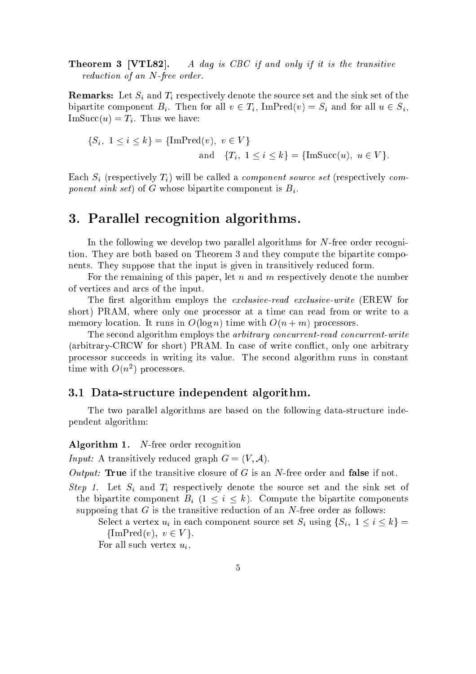**Theorem 3 [VTL82].** A dag is CBC if and only if it is the transitive reduction of an N-free order.

**Remarks:** Let  $S_i$  and  $T_i$  respectively denote the source set and the sink set of the bipartite component  $B_i$ . Then for all  $v \in T_i$ , ImPred $(v) = S_i$  and for all  $u \in S_i$ ,  $\text{Im}Succ(u) = T_i$ . Thus we have:

$$
\{S_i, 1 \le i \le k\} = \{\text{ImPred}(v), v \in V\}
$$
  
and 
$$
\{T_i, 1 \le i \le k\} = \{\text{ImSucc}(u), u \in V\}.
$$

Each  $S_i$  (respectively  $T_i$ ) will be called a *component source set* (respectively *com*ponent sink set) of G whose bipartite component is  $B_i$ .

## 3. Parallel re
ognition algorithms.

In the following we develop two parallel algorithms for  $N$ -free order recognition. They are both based on Theorem 3 and they ompute the bipartite omponents. They suppose that the input is given in transitively redu
ed form.

For the remaining of this paper, let  $n$  and  $m$  respectively denote the number of verti
es and ar
s of the input.

The first algorithm employs the *exclusive-read exclusive-write* (EREW for short) PRAM, where only one processor at a time can read from or write to a memory location. It runs in  $O(\log n)$  time with  $O(n+m)$  processors.

The second algorithm employs the *arbitrary concurrent-read concurrent-write* (arbitrary-CRCW for short) PRAM. In case of write conflict, only one arbitrary processor succeeds in writing its value. The second algorithm runs in constant time with  $O(n^2)$  processors.

#### 3.1 Data-stru
ture independent algorithm.

The two parallel algorithms are based on the following data-stru
ture independent algorithm:

#### Algorithm 1. N-free order recognition

*Input:* A transitively reduced graph  $G = (V, \mathcal{A})$ .

Output: True if the transitive closure of G is an N-free order and false if not.

Step 1. Let  $S_i$  and  $T_i$  respectively denote the source set and the sink set of the bipartite component  $B_i$   $(1 \leq i \leq k)$ . Compute the bipartite components supposing that  $G$  is the transitive reduction of an  $N$ -free order as follows:

Select a vertex  $u_i$  in each component source set  $S_i$  using  $\{S_i, 1 \le i \le k\}$  $\{\text{ImPred}(v), v \in V\}.$ 

For all such vertex  $u_i$ ,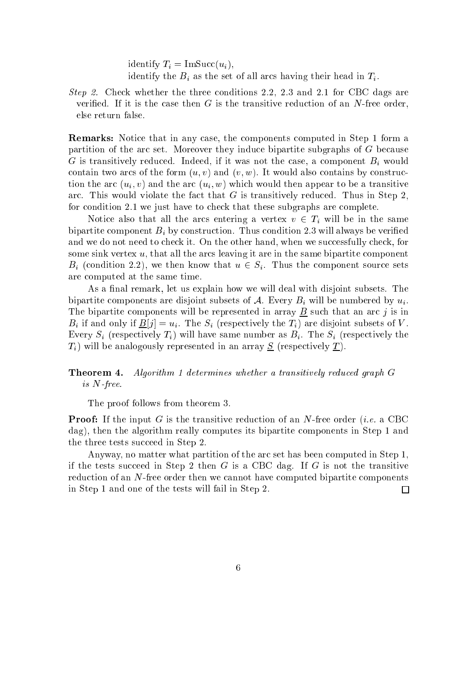identify  $T_i = \text{Im}Succ(u_i),$ identify the  $B_i$  as the set of all arcs having their head in  $T_i$ .

Step 2. Check whether the three conditions 2.2, 2.3 and 2.1 for CBC dags are verified. If it is the case then  $G$  is the transitive reduction of an N-free order. else return false.

**Remarks:** Notice that in any case, the components computed in Step 1 form a partition of the arc set. Moreover they induce bipartite subgraphs of  $G$  because G is transitively reduced. Indeed, if it was not the case, a component  $B_i$  would contain two arcs of the form  $(u, v)$  and  $(v, w)$ . It would also contains by construction the arc  $(u_i, v)$  and the arc  $(u_i, w)$  which would then appear to be a transitive arc. This would violate the fact that  $G$  is transitively reduced. Thus in Step 2, for condition 2.1 we just have to check that these subgraphs are complete.

Notice also that all the arcs entering a vertex  $v \in T_i$  will be in the same bipartite component  $B_i$  by construction. Thus condition 2.3 will always be verified and we do not need to check it. On the other hand, when we successfully check, for some sink vertex  $u$ , that all the arcs leaving it are in the same bipartite component  $B_i$  (condition 2.2), we then know that  $u \in S_i$ . Thus the component source sets are omputed at the same time.

As a final remark, let us explain how we will deal with disjoint subsets. The bipartite components are disjoint subsets of A. Every  $B_i$  will be numbered by  $u_i$ . The bipartite components will be represented in array  $\underline{B}$  such that an arc j is in  $B_i$  if and only if  $\underline{B}[j] = u_i$ . The  $S_i$  (respectively the  $T_i$ ) are disjoint subsets of V. Every  $S_i$  (respectively  $T_i$ ) will have same number as  $B_i$ . The  $S_i$  (respectively the  $T_i$ ) will be analogously represented in an array  $S$  (respectively  $T$ ).

#### **Theorem 4.** Algorithm 1 determines whether a transitively reduced graph G is N-free.

The proof follows from theorem 3.

**Proof:** If the input G is the transitive reduction of an N-free order (*i.e.* a CBC dag), then the algorithm really omputes its bipartite omponents in Step 1 and the three tests succeed in Step 2.

Anyway, no matter what partition of the arc set has been computed in Step 1. if the tests succeed in Step 2 then  $G$  is a CBC dag. If  $G$  is not the transitive redu
tion of an N-free order then we annot have omputed bipartite omponents in Step 1 and one of the tests will fail in Step 2. П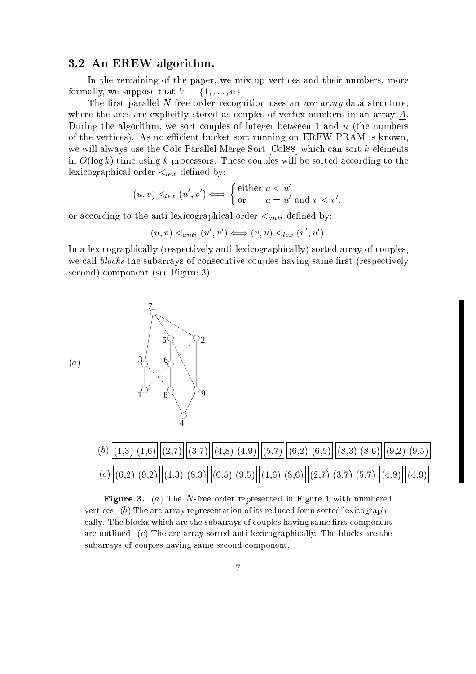### 3.2 An EREW algorithm.

In the remaining of the paper, we mix up verti
es and their numbers, more formally, we suppose that  $V = \{1, \ldots, n\}.$ 

The first parallel N-free order recognition uses an  $arc-array$  data structure. where the arcs are explicitly stored as couples of vertex numbers in an array  $A$ . During the algorithm, we sort couples of integer between 1 and  $n$  (the numbers of the vertices). As no efficient bucket sort running on EREW PRAM is known. we will always use the Cole Parallel Merge Sort  $\lceil \text{Co188} \rceil$  which can sort k elements in  $O(\log k)$  time using k processors. These couples will be sorted according to the lexicographical order  $\lt_{lex}$  defined by:

$$
(u, v) <_{lex} (u', v') \iff \begin{cases} \text{either } u < u' \\ \text{or } u = u' \text{ and } v < v'. \end{cases}
$$

or according to the anti-lexicographical order  $\lt_{anti}$  defined by:

$$
(u, v) <_{anti} (u', v') \Longleftrightarrow (v, u) <_{lex} (v', u').
$$

In a lexi
ographi
ally (respe
tively anti-lexi
ographi
ally) sorted array of ouples, we call *blocks* the subarrays of consecutive couples having same first (respectively second) component (see Figure 3).





**Figure 3.** (a) The N-free order represented in Figure 1 with numbered vertices.  $(b)$  The arc-array representation of its reduced form sorted lexicographically. The blocks which are the subarrays of couples having same first component are outlined.  $(c)$  The arc-array sorted anti-lexicographically. The blocks are the subarrays of couples having same second component.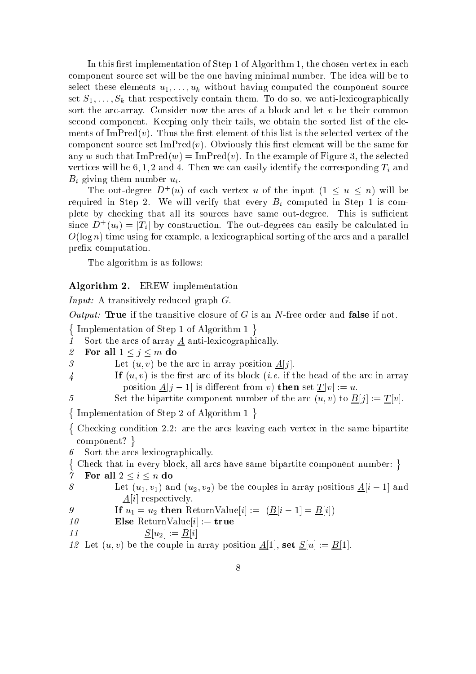In this first implementation of Step 1 of Algorithm 1, the chosen vertex in each omponent sour
e set will be the one having minimal number. The idea will be to select these elements  $u_1, \ldots, u_k$  without having computed the component source set  $S_1, \ldots, S_k$  that respectively contain them. To do so, we anti-lexicographically sort the arc-array. Consider now the arcs of a block and let  $v$  be their common se
ond omponent. Keeping only their tails, we obtain the sorted list of the elements of ImPred $(v)$ . Thus the first element of this list is the selected vertex of the component source set  $\text{ImPred}(v)$ . Obviously this first element will be the same for any w such that  $\text{ImPred}(w) = \text{ImPred}(v)$ . In the example of Figure 3, the selected vertices will be  $6, 1, 2$  and 4. Then we can easily identify the corresponding  $T_i$  and  $B_i$  giving them number  $u_i$ .

The out-degree  $D^+(u)$  of each vertex u of the input  $(1 \le u \le n)$  will be required in Step 2. We will verify that every  $B_i$  computed in Step 1 is complete by checking that all its sources have same out-degree. This is sufficient since  $D^+(u_i) = |T_i|$  by construction. The out-degrees can easily be calculated in  $O(\log n)$  time using for example, a lexicographical sorting of the arcs and a parallel prefix computation.

The algorithm is as follows:

#### Algorithm 2. EREW implementation

Input: A transitively reduced graph G.

Output: True if the transitive closure of G is an N-free order and false if not.

 $\sim$ 

Implementation of Step 1 of Algorithm 1 1 Sort the arcs of array A anti-lexicographically. 2 For all  $1 \leq j \leq m$  do 3 Let  $(u, v)$  be the arc in array position  $A[j]$ .  $\mathbf{F}(u, v)$  is the first arc of its block (*i.e.* if the head of the arc in array position  $\underline{A}[j-1]$  is different from v) then set  $\underline{T}[v] := u$ . 5 Set the bipartite component number of the arc  $(u, v)$  to  $\underline{B}[j] := \underline{T}[v]$ . -Implementation of Step 2 of Algorithm 1  $\sim$  $\{$ Checking condition 2.2: are the arcs leaving each vertex in the same bipartite omponent? Sort the arcs lexicographically. ∤ Check that in every block, all arcs have same bipartite component number: } 7 For all  $2 \leq i \leq n$  do 8 Let  $(u_1, v_1)$  and  $(u_2, v_2)$  be the couples in array positions  $\underline{A}[i-1]$  and  $\Delta[i]$  respectively. 9 If  $u_1 = u_2$  then ReturnValue[i] :=  $(\underline{B}[i-1] = \underline{B}[i])$  $10$  Else ReturnValue[i] := true 11  $S[u_2] := B[i]$ 12 Let  $(u, v)$  be the couple in array position  $\underline{A}[1]$ , set  $\underline{S}[u] := \underline{B}[1]$ .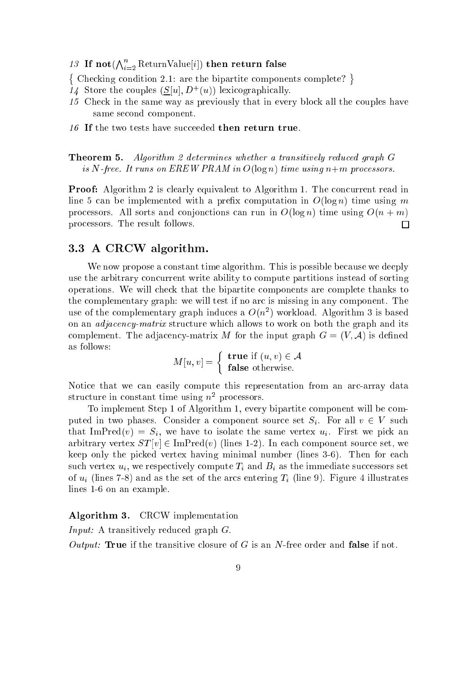13 If not $(\bigwedge_{i=2}^n \mathrm{ReturnValue}[i])$  then return false

 $\{$  Checking condition 2.1; are the bipartite components complete?  $\}$ 

- 14 Store the couples  $(S[u], D^+(u))$  lexicographically.
- 15 Che
k in the same way as previously that in every blo
k all the ouples have same se
ond omponent.
- 16 If the two tests have succeeded then return true.

**Theorem 5.** Algorithm 2 determines whether a transitively reduced graph G is N-free. It runs on EREW PRAM in  $O(\log n)$  time using  $n+m$  processors.

**Proof:** Algorithm 2 is clearly equivalent to Algorithm 1. The concurrent read in line 5 can be implemented with a prefix computation in  $O(\log n)$  time using m processors. All sorts and conjonctions can run in  $O(\log n)$  time using  $O(n+m)$ pro
essors. The result follows.  $\Box$ 

#### 3.3 A CRCW algorithm.

We now propose a constant time algorithm. This is possible because we deeply use the arbitrary concurrent write ability to compute partitions instead of sorting operations. We will he
k that the bipartite omponents are omplete thanks to the complementary graph: we will test if no arc is missing in any component. The use of the complementary graph induces a  $O(n^2)$  workload. Algorithm 3 is based on an *adjacency-matrix* structure which allows to work on both the graph and its complement. The adjacency-matrix M for the input graph  $G = (V, \mathcal{A})$  is defined as follows:

$$
M[u, v] = \begin{cases} \textbf{true} \text{ if } (u, v) \in \mathcal{A} \\ \textbf{false} \text{ otherwise.} \end{cases}
$$

Notice that we can easily compute this representation from an arc-array data structure in constant time using  $n<sup>2</sup>$  processors.

To implement Step 1 of Algorithm 1, every bipartite omponent will be omputed in two phases. Consider a component source set  $S_i$ . For all  $v \in V$  such that ImPred $(v) = S_i$ , we have to isolate the same vertex  $u_i$ . First we pick an arbitrary vertex  $ST[v] \in \text{ImPred}(v)$  (lines 1-2). In each component source set, we keep only the picked vertex having minimal number (lines 3-6). Then for each such vertex  $u_i$ , we respectively compute  $T_i$  and  $B_i$  as the immediate successors set of  $u_i$  (lines 7-8) and as the set of the arcs entering  $T_i$  (line 9). Figure 4 illustrates lines 1-6 on an example.

### Algorithm 3. CRCW implementation

Input: A transitively reduced graph G.

Output: True if the transitive closure of G is an N-free order and false if not.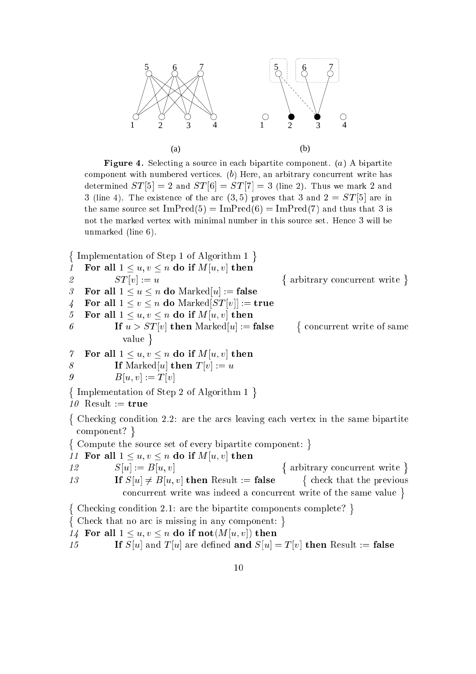

**Figure 4.** Selecting a source in each bipartite component. (a) A bipartite component with numbered vertices.  $(b)$  Here, an arbitrary concurrent write has determined  $ST[5] = 2$  and  $ST[6] = ST[7] = 3$  (line 2). Thus we mark 2 and 3 (line 4). The existence of the arc  $(3,5)$  proves that 3 and  $2 = ST[5]$  are in the same source set  $\text{ImPred}(5) = \text{ImPred}(6) = \text{ImPred}(7)$  and thus that 3 is not the marked vertex with minimal number in this sour
e set. Hen
e 3 will be unmarked (line 6).

 Implementation of Step 1 of Algorithm 1  $\sim$ 

1 For all  $1 \leq u, v \leq n$  do if  $M[u, v]$  then 2  $ST[v] := u$  arbitrary on
urrent write 3 For all  $1 \le u \le n$  do Marked[u] := false 4 For all  $1 \le v \le n$  do Marked $ST[v] :=$ true 5 For all  $1 \leq u, v \leq n$  do if  $M[u, v]$  then 6 If  $u > ST[v]$  then Marked $[u] :=$  false { concurrent write of same value } 7 For all  $1 \leq u, v \leq n$  do if  $M[u, v]$  then 8 **If** Marked[u] **then**  $T[v] := u$ 9  $B[u, v] := T[v]$  Implementation of Step 2 of Algorithm 1  $\sim$ 10 Result :=  $true$  Che
king ondition 2.2: are the ar
s leaving ea
h vertex in the same bipartite

omponent? Compute the sour
e set of every bipartite omponent: 

11 For all  $1 \leq u, v \leq n$  do if  $M[u, v]$  then

12  $S[u] := B[u, v]$  arbitrary on
urrent write 13 If  $S[u] \neq B[u, v]$  then Result := false { check that the previous on
urrent write was indeed a on
urrent write of the same value 

-Checking condition 2.1: are the bipartite components complete? } { Check that no arc is missing in any component: }

14 For all  $1 \leq u, v \leq n$  do if not $(M[u, v])$  then

15 **If**  $S[u]$  and  $T[u]$  are defined **and**  $S[u] = T[v]$  then Result := **false**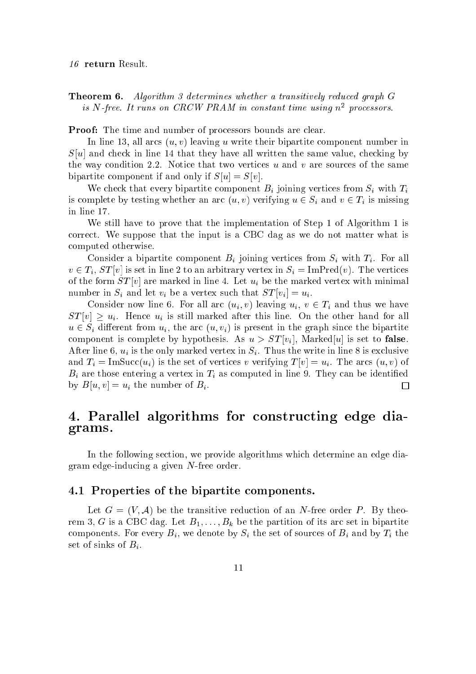**Theorem 6.** Algorithm 3 determines whether a transitively reduced graph G is N-free. It runs on CRCW PRAM in constant time using  $n^2$  processors.

**Proof:** The time and number of processors bounds are clear.

In line 13, all arcs  $(u, v)$  leaving u write their bipartite component number in  $S[u]$  and check in line 14 that they have all written the same value, checking by the way condition 2.2. Notice that two vertices  $u$  and  $v$  are sources of the same bipartite component if and only if  $S[u] = S[v]$ .

We check that every bipartite component  $B_i$  joining vertices from  $S_i$  with  $T_i$ is complete by testing whether an arc  $(u, v)$  verifying  $u \in S_i$  and  $v \in T_i$  is missing in line 17.

We still have to prove that the implementation of Step 1 of Algorithm 1 is orre
t. We suppose that the input is a CBC dag as we do not matter what is omputed otherwise.

Consider a bipartite component  $B_i$  joining vertices from  $S_i$  with  $T_i$ . For all  $v \in T_i$ ,  $ST[v]$  is set in line 2 to an arbitrary vertex in  $S_i = \text{ImPred}(v)$ . The vertices of the form  $ST[v]$  are marked in line 4. Let  $u_i$  be the marked vertex with minimal number in  $S_i$  and let  $v_i$  be a vertex such that  $ST[v_i] = u_i$ .

Consider now line 6. For all arc  $(u_i, v)$  leaving  $u_i, v \in T_i$  and thus we have  $ST[v] \geq u_i$ . Hence  $u_i$  is still marked after this line. On the other hand for all  $u \in S_i$  different from  $u_i$ , the arc  $(u, v_i)$  is present in the graph since the bipartite component is complete by hypothesis. As  $u > ST[v_i]$ , Marked[u] is set to **false**. After line 6,  $u_i$  is the only marked vertex in  $S_i$ . Thus the write in line 8 is exclusive and  $T_i = \text{Im}Succ(u_i)$  is the set of vertices v verifying  $T[v] = u_i$ . The arcs  $(u, v)$  of  $B_i$  are those entering a vertex in  $T_i$  as computed in line 9. They can be identified by  $B[u, v] = u_i$  the number of  $B_i$ .  $\Box$ 

## 4. Parallel algorithms for onstru
ting edge diagrams.

In the following se
tion, we provide algorithms whi
h determine an edge diagram edge-indu
ing a given N-free order.

#### 4.1 Properties of the bipartite omponents.

Let  $G = (V, \mathcal{A})$  be the transitive reduction of an N-free order P. By theorem 3, G is a CBC dag. Let  $B_1, \ldots, B_k$  be the partition of its arc set in bipartite components. For every  $B_i$ , we denote by  $S_i$  the set of sources of  $B_i$  and by  $T_i$  the set of sinks of  $B_i$ .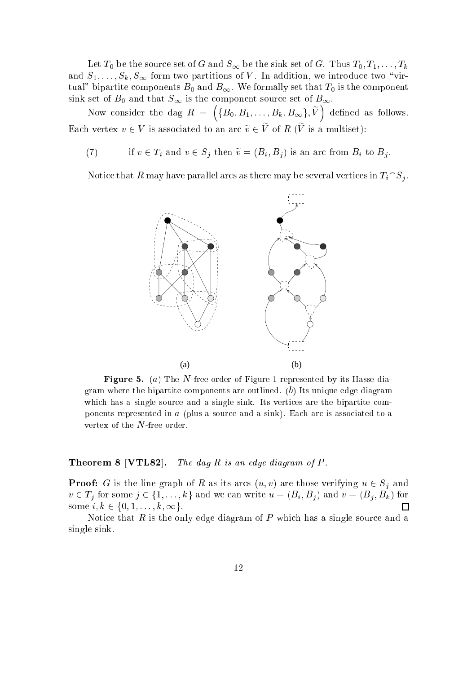Let  $T_0$  be the source set of G and  $S_{\infty}$  be the sink set of G. Thus  $T_0, T_1, \ldots, T_k$ and  $S_1, \ldots, S_k, S_\infty$  form two partitions of V. In addition, we introduce two "virtual" bipartite components  $B_0$  and  $B_{\infty}$ . We formally set that  $T_0$  is the component sink set of  $B_0$  and that  $S_{\infty}$  is the component source set of  $B_{\infty}$ .

Now consider the dag  $R = \left( \{B_0, B_1, \ldots, B_k, B_\infty\}, \widetilde{V} \right)$ Each vertex  $v \in V$  is associated to an arc  $\widetilde{v} \in \widetilde{V}$  of  $R$  ( $\widetilde{V}$  is a multiset):

(7) if  $v \in T_i$  and  $v \in S_j$  then  $\widetilde{v} = (B_i, B_j)$  is an arc from  $B_i$  to  $B_j$ .

Notice that R may have parallel arcs as there may be several vertices in  $T_i\cap S_j$ .



**Figure 5.** (a) The N-free order of Figure 1 represented by its Hasse diagram where the bipartite components are outlined.  $(b)$  Its unique edge diagram which has a single source and a single sink. Its vertices are the bipartite components represented in a (plus a source and a sink). Each arc is associated to a vertex of the N-free order.

#### **Theorem 8 [VTL82].** The dag R is an edge diagram of P.

**Proof:** G is the line graph of R as its arcs  $(u, v)$  are those verifying  $u \in S_i$  and  $v \in T_j$  for some  $j \in \{1, \ldots, k\}$  and we can write  $u = (B_i, B_j)$  and  $v = (B_j, B_k)$  for some  $i, k \in \{0, 1, \ldots, k, \infty\}.$ П

Notice that R is the only edge diagram of P which has a single source and a single sink.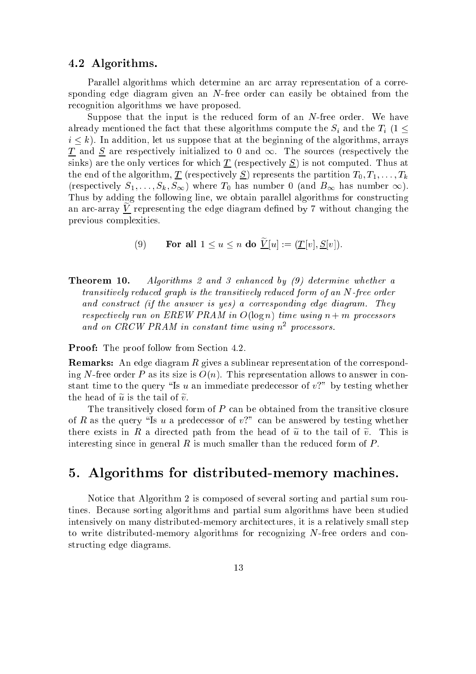#### 4.2 Algorithms.

Parallel algorithms which determine an arc array representation of a corresponding edge diagram given an N-free order can easily be obtained from the re
ognition algorithms we have proposed.

Suppose that the input is the reduced form of an  $N$ -free order. We have already mentioned the fact that these algorithms compute the  $S_i$  and the  $T_i$  (1  $\leq$  $i \leq k$ ). In addition, let us suppose that at the beginning of the algorithms, arrays  $\underline{T}$  and  $\underline{S}$  are respectively initialized to 0 and  $\infty$ . The sources (respectively the sinks) are the only vertices for which  $\underline{T}$  (respectively  $\underline{S}$ ) is not computed. Thus at the end of the algorithm,  $\underline{T}$  (respectively  $\underline{S}$ ) represents the partition  $T_0, T_1, \ldots, T_k$ (respectively  $S_1, \ldots, S_k, S_\infty$ ) where  $T_0$  has number 0 (and  $B_\infty$  has number  $\infty$ ). Thus by adding the following line, we obtain parallel algorithms for constructing an arc-array  $V$  representing the edge diagram defined by  $7$  without changing the previous omplexities.

- (9) For all  $1 \le u \le n$  do  $\widetilde{V}[u] := (\underline{T}[v], \underline{S}[v]).$
- **Theorem 10.** Algorithms 2 and 3 enhanced by  $(9)$  determine whether a transitively redu
ed graph is the transitively redu
ed form of an N-free order and construct (if the answer is yes) a corresponding edge diagram. They respectively run on EREW PRAM in  $O(\log n)$  time using  $n+m$  processors ana on CRCW PRAM in constant time using n<sup>-</sup> processors.

**Proof:** The proof follow from Section 4.2.

**Remarks:** An edge diagram R gives a sublinear representation of the corresponding N-free order P as its size is  $O(n)$ . This representation allows to answer in constant time to the query "Is u an immediate predecessor of  $v$ ?" by testing whether the head of  $\widetilde{u}$  is the tail of  $\widetilde{v}$ .

The transitively closed form of  $P$  can be obtained from the transitive closure of R as the query "Is u a predecessor of  $v$ ?" can be answered by testing whether there exists in R a directed path from the head of  $\tilde{u}$  to the tail of  $\tilde{v}$ . This is interesting since in general  $R$  is much smaller than the reduced form of  $P$ .

# 5. Algorithms for distributed-memory ma
hines.

Noti
e that Algorithm 2 is omposed of several sorting and partial sum routines. Because sorting algorithms and partial sum algorithms have been studied intensively on many distributed-memory architectures, it is a relatively small step to write distributed-memory algorithms for recognizing N-free orders and constru
ting edge diagrams.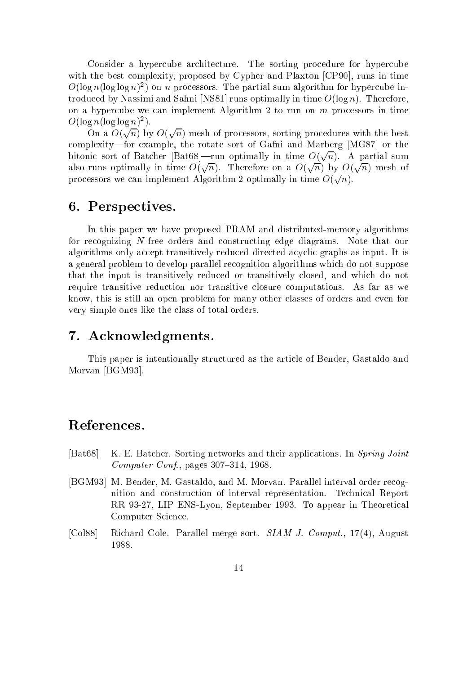Consider a hypercube architecture. The sorting procedure for hypercube with the best complexity, proposed by Cypher and Plaxton [CP90], runs in time  $O(\log n (\log \log n)^2)$  on n processors. The partial sum algorithm for hypercube introduced by Nassimi and Sahni [NS81] runs optimally in time  $O(\log n)$ . Therefore, on a hypercube we can implement Algorithm 2 to run on  $m$  processors in time  $O(\log n (\log \log n)^2)$ .

On a  $O(\sqrt{n})$  by  $O(\sqrt{n})$  mesh of processors, sorting procedures with the best complexity—for example, the rotate sort of Gafni and Marberg [MG87] or the bitonic sort of Batcher  $|\text{Bat68}|\text{—run optimally in time } O(\sqrt{n})$ . A partial sum also runs optimally in time  $O(\sqrt{n})$ . Therefore on a  $O(\sqrt{n})$  by  $O(\sqrt{n})$  mesh of processors we can implement Algorithm 2 optimally in time  $O(\sqrt{n})$ .

# 6. Perspe
tives.

In this paper we have proposed PRAM and distributed-memory algorithms for re
ognizing N-free orders and onstru
ting edge diagrams. Note that our algorithms only accept transitively reduced directed acyclic graphs as input. It is a general problem to develop parallel re
ognition algorithms whi
h do not suppose that the input is transitively redu
ed or transitively losed, and whi
h do not require transitive redu
tion nor transitive losure omputations. As far as we know, this is still an open problem for many other lasses of orders and even for very simple ones like the lass of total orders.

# 7. A
knowledgments.

This paper is intentionally stru
tured as the arti
le of Bender, Gastaldo and Morvan [BGM93].

# References.

- [Bat68] K. E. Batcher. Sorting networks and their applications. In Spring Joint Computer Conf., pages  $307-314$ , 1968.
- [BGM93] M. Bender, M. Gastaldo, and M. Morvan. Parallel interval order recognition and onstru
tion of interval representation. Te
hni
al Report RR 93-27, LIP ENS-Lyon, September 1993. To appear in Theoretical Computer S
ien
e.
- [Col88] Richard Cole. Parallel merge sort. SIAM J. Comput., 17(4), August 1988.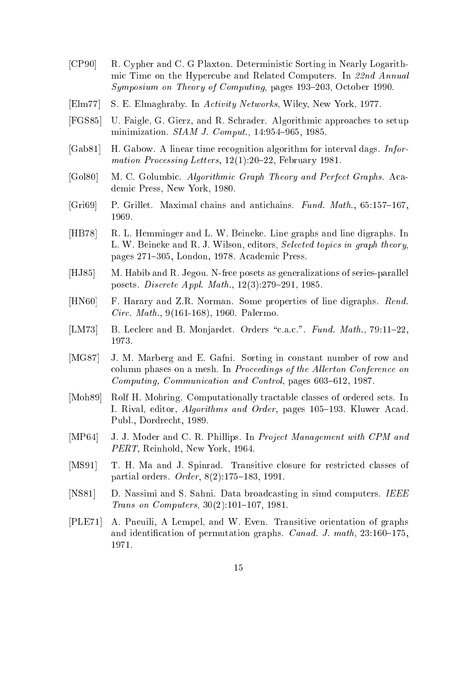- [CP90] R. Cypher and C. G Plaxton. Deterministic Sorting in Nearly Logarithmic Time on the Hypercube and Related Computers. In 22nd Annual Symposium on Theory of Computing, pages 193–203, October 1990.
- [Elm77] S. E. Elmaghraby. In Activity Networks, Wiley, New York, 1977.
- [FGS85] U. Faigle, G. Gierz, and R. Schrader. Algorithmic approaches to setup minimization.  $SIAM$  J. Comput., 14:954-965, 1985.
- [Gab81] H. Gabow. A linear time recognition algorithm for interval dags. *Infor*mation Processing Letters,  $12(1):20-22$ , February 1981.
- [Gol80] M. C. Golumbic. Algorithmic Graph Theory and Perfect Graphs. Academi Press, New York, 1980.
- [Gri69] P. Grillet. Maximal chains and antichains. Fund. Math.,  $65:157-167$ , 1969.
- [HB78] R. L. Hemminger and L. W. Beineke. Line graphs and line digraphs. In L. W. Beineke and R. J. Wilson, editors, *Selected topics in graph theory*. pages 271–305, London, 1978. Academic Press.
- [HJ85] M. Habib and R. Jegou. N-free posets as generalizations of series-parallel posets. *Discrete Appl. Math.*, 12(3):279-291, 1985.
- [HN60] F. Harary and Z.R. Norman. Some properties of line digraphs. Rend. Cir
. Math., 9(161-168), 1960. Palermo.
- [LM73] B. Leclerc and B. Monjardet. Orders "c.a.c.". Fund. Math., 79:11-22, 1973.
- [MG87] J. M. Marberg and E. Gafni. Sorting in constant number of row and column phases on a mesh. In *Proceedings of the Allerton Conference on* Computing, Communication and Control, pages 603-612, 1987.
- [Moh89] Rolf H. Mohring. Computationally tractable classes of ordered sets. In I. Rival, editor, *Algorithms and Order*, pages 105–193. Kluwer Acad. Publ., Dordre
ht, 1989.
- [MP64] J. J. Moder and C. R. Phillips. In *Project Management with CPM and* PERT, Reinhold, New York, 1964.
- [MS91] T. H. Ma and J. Spinrad. Transitive closure for restricted classes of partial orders.  $Order, 8(2):175{-}183, 1991.$
- [NS81] D. Nassimi and S. Sahni. Data broadcasting in simd computers. IEEE Trans on Computers,  $30(2):101-107$ , 1981.
- [PLE71] A. Pneuili, A Lempel, and W. Even. Transitive orientation of graphs and identification of permutation graphs. *Canad. J. math*,  $23:160-175$ , 1971.